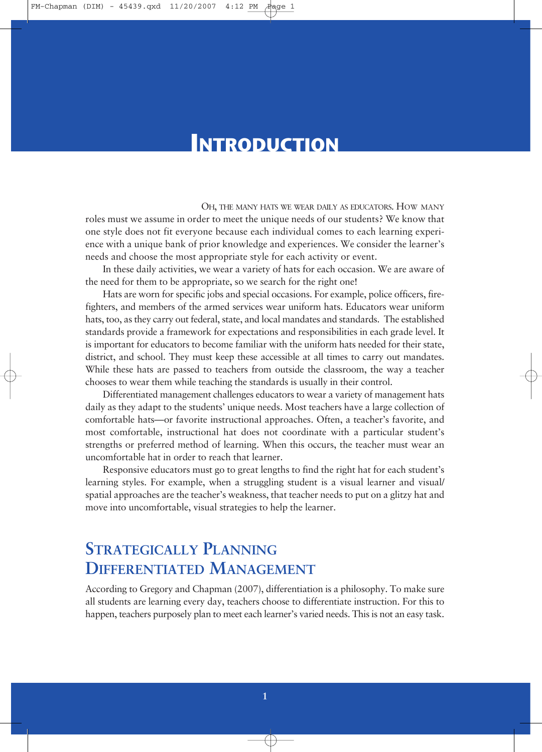# **INTRODUCTION**

OH, THE MANY HATS WE WEAR DAILY AS EDUCATORS. HOW MANY roles must we assume in order to meet the unique needs of our students? We know that one style does not fit everyone because each individual comes to each learning experience with a unique bank of prior knowledge and experiences. We consider the learner's needs and choose the most appropriate style for each activity or event.

In these daily activities, we wear a variety of hats for each occasion. We are aware of the need for them to be appropriate, so we search for the right one!

Hats are worn for specific jobs and special occasions. For example, police officers, firefighters, and members of the armed services wear uniform hats. Educators wear uniform hats, too, as they carry out federal, state, and local mandates and standards. The established standards provide a framework for expectations and responsibilities in each grade level. It is important for educators to become familiar with the uniform hats needed for their state, district, and school. They must keep these accessible at all times to carry out mandates. While these hats are passed to teachers from outside the classroom, the way a teacher chooses to wear them while teaching the standards is usually in their control.

Differentiated management challenges educators to wear a variety of management hats daily as they adapt to the students' unique needs. Most teachers have a large collection of comfortable hats—or favorite instructional approaches. Often, a teacher's favorite, and most comfortable, instructional hat does not coordinate with a particular student's strengths or preferred method of learning. When this occurs, the teacher must wear an uncomfortable hat in order to reach that learner.

Responsive educators must go to great lengths to find the right hat for each student's learning styles. For example, when a struggling student is a visual learner and visual/ spatial approaches are the teacher's weakness, that teacher needs to put on a glitzy hat and move into uncomfortable, visual strategies to help the learner.

### **STRATEGICALLY PLANNING DIFFERENTIATED MANAGEMENT**

According to Gregory and Chapman (2007), differentiation is a philosophy. To make sure all students are learning every day, teachers choose to differentiate instruction. For this to happen, teachers purposely plan to meet each learner's varied needs. This is not an easy task.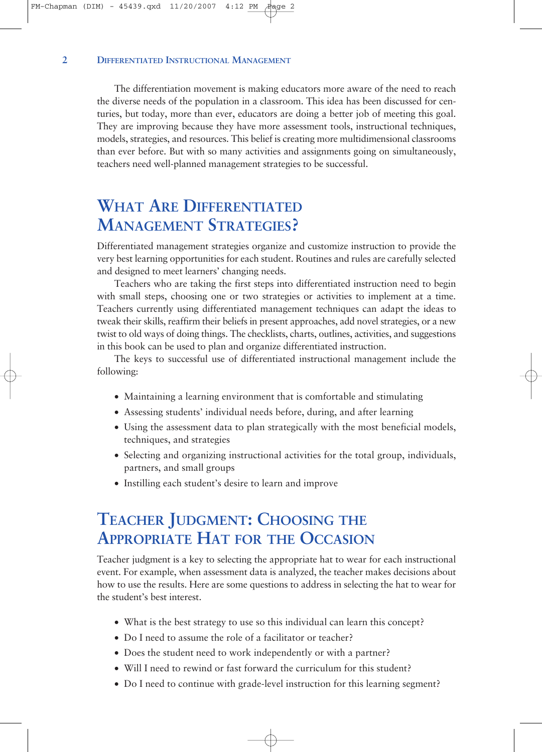The differentiation movement is making educators more aware of the need to reach the diverse needs of the population in a classroom. This idea has been discussed for centuries, but today, more than ever, educators are doing a better job of meeting this goal. They are improving because they have more assessment tools, instructional techniques, models, strategies, and resources. This belief is creating more multidimensional classrooms than ever before. But with so many activities and assignments going on simultaneously, teachers need well-planned management strategies to be successful.

## **WHAT ARE DIFFERENTIATED MANAGEMENT STRATEGIES?**

Differentiated management strategies organize and customize instruction to provide the very best learning opportunities for each student. Routines and rules are carefully selected and designed to meet learners' changing needs.

Teachers who are taking the first steps into differentiated instruction need to begin with small steps, choosing one or two strategies or activities to implement at a time. Teachers currently using differentiated management techniques can adapt the ideas to tweak their skills, reaffirm their beliefs in present approaches, add novel strategies, or a new twist to old ways of doing things. The checklists, charts, outlines, activities, and suggestions in this book can be used to plan and organize differentiated instruction.

The keys to successful use of differentiated instructional management include the following:

- Maintaining a learning environment that is comfortable and stimulating
- Assessing students' individual needs before, during, and after learning
- Using the assessment data to plan strategically with the most beneficial models, techniques, and strategies
- Selecting and organizing instructional activities for the total group, individuals, partners, and small groups
- Instilling each student's desire to learn and improve

## **TEACHER JUDGMENT: CHOOSING THE APPROPRIATE HAT FOR THE OCCASION**

Teacher judgment is a key to selecting the appropriate hat to wear for each instructional event. For example, when assessment data is analyzed, the teacher makes decisions about how to use the results. Here are some questions to address in selecting the hat to wear for the student's best interest.

- What is the best strategy to use so this individual can learn this concept?
- Do I need to assume the role of a facilitator or teacher?
- Does the student need to work independently or with a partner?
- Will I need to rewind or fast forward the curriculum for this student?
- Do I need to continue with grade-level instruction for this learning segment?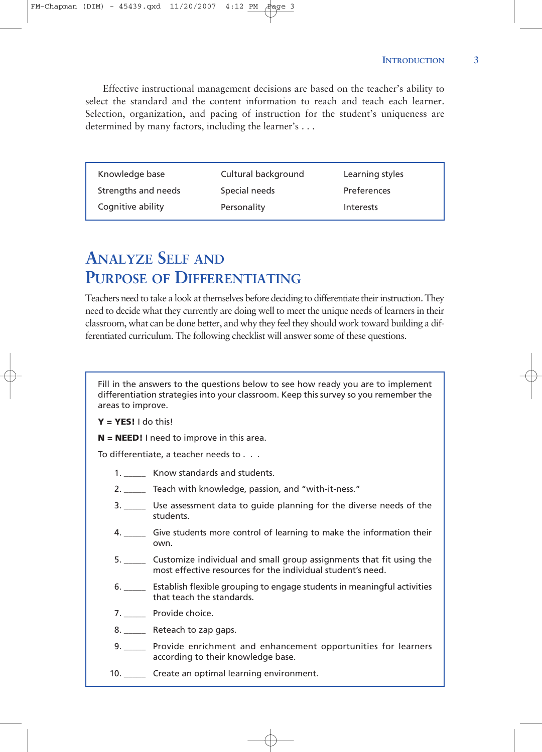Effective instructional management decisions are based on the teacher's ability to select the standard and the content information to reach and teach each learner. Selection, organization, and pacing of instruction for the student's uniqueness are determined by many factors, including the learner's . . .

| Knowledge base      | Cultural background | Learning styles  |
|---------------------|---------------------|------------------|
| Strengths and needs | Special needs       | Preferences      |
| Cognitive ability   | Personality         | <b>Interests</b> |

## **ANALYZE SELF AND PURPOSE OF DIFFERENTIATING**

Teachers need to take a look at themselves before deciding to differentiate their instruction. They need to decide what they currently are doing well to meet the unique needs of learners in their classroom, what can be done better, and why they feel they should work toward building a differentiated curriculum. The following checklist will answer some of these questions.

Fill in the answers to the questions below to see how ready you are to implement differentiation strategies into your classroom. Keep this survey so you remember the areas to improve.

#### **Y = YES!** I do this!

**N = NEED!** I need to improve in this area.

To differentiate, a teacher needs to . . .

- 1. \_\_\_\_\_\_ Know standards and students.
- 2. \_\_\_\_\_ Teach with knowledge, passion, and "with-it-ness."
- 3. \_\_\_\_\_ Use assessment data to guide planning for the diverse needs of the students.
- 4. \_\_\_\_\_\_ Give students more control of learning to make the information their own.
- 5. \_\_\_\_\_ Customize individual and small group assignments that fit using the most effective resources for the individual student's need.
- 6. \_\_\_\_\_ Establish flexible grouping to engage students in meaningful activities that teach the standards.
- 7. \_\_\_\_\_ Provide choice.
- 8. \_\_\_\_\_\_ Reteach to zap gaps.
- 9. \_\_\_\_\_ Provide enrichment and enhancement opportunities for learners according to their knowledge base.
- 10. Create an optimal learning environment.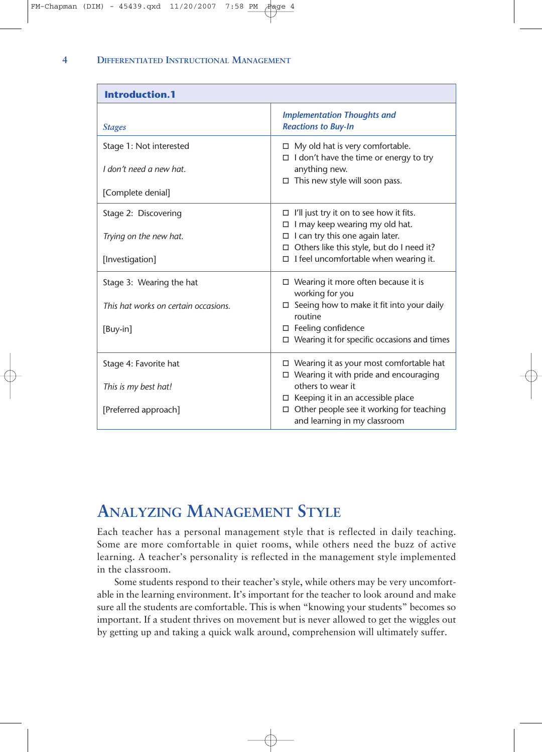| <b>Introduction.1</b>                              |                                                                                                                                                   |  |
|----------------------------------------------------|---------------------------------------------------------------------------------------------------------------------------------------------------|--|
| <b>Stages</b>                                      | <b>Implementation Thoughts and</b><br><b>Reactions to Buy-In</b>                                                                                  |  |
| Stage 1: Not interested<br>I don't need a new hat. | $\Box$ My old hat is very comfortable.<br>$\Box$ I don't have the time or energy to try<br>anything new.<br>$\Box$ This new style will soon pass. |  |
| [Complete denial]                                  |                                                                                                                                                   |  |
| Stage 2: Discovering                               | $\Box$ I'll just try it on to see how it fits.<br>$\Box$ I may keep wearing my old hat.                                                           |  |
| Trying on the new hat.                             | $\Box$ I can try this one again later.<br>$\Box$ Others like this style, but do I need it?                                                        |  |
| [Investigation]                                    | $\Box$ I feel uncomfortable when wearing it.                                                                                                      |  |
| Stage 3: Wearing the hat                           | $\Box$ Wearing it more often because it is<br>working for you                                                                                     |  |
| This hat works on certain occasions.               | $\Box$ Seeing how to make it fit into your daily<br>routine                                                                                       |  |
| [Buy-in]                                           | □ Feeling confidence<br>$\Box$ Wearing it for specific occasions and times                                                                        |  |
| Stage 4: Favorite hat                              | $\Box$ Wearing it as your most comfortable hat<br>□ Wearing it with pride and encouraging                                                         |  |
| This is my best hat!                               | others to wear it<br>$\Box$ Keeping it in an accessible place                                                                                     |  |
| [Preferred approach]                               | $\Box$ Other people see it working for teaching<br>and learning in my classroom                                                                   |  |

### **ANALYZING MANAGEMENT STYLE**

Each teacher has a personal management style that is reflected in daily teaching. Some are more comfortable in quiet rooms, while others need the buzz of active learning. A teacher's personality is reflected in the management style implemented in the classroom.

Some students respond to their teacher's style, while others may be very uncomfortable in the learning environment. It's important for the teacher to look around and make sure all the students are comfortable. This is when "knowing your students" becomes so important. If a student thrives on movement but is never allowed to get the wiggles out by getting up and taking a quick walk around, comprehension will ultimately suffer.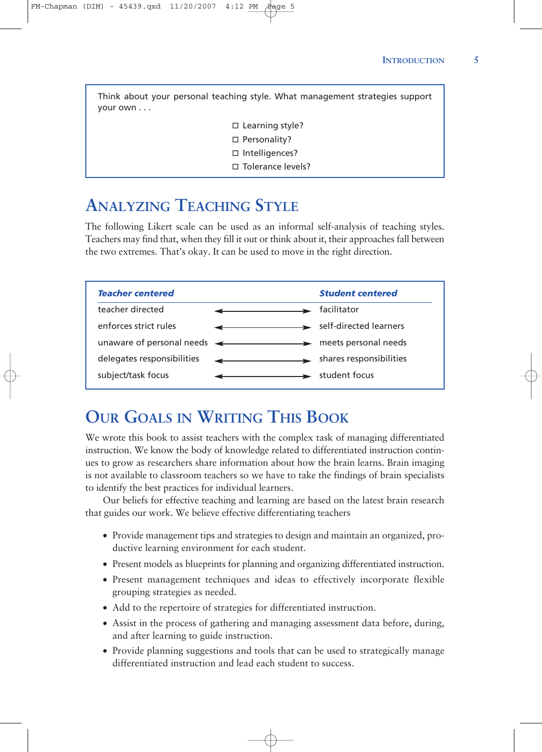Think about your personal teaching style. What management strategies support your own . . .  $\Box$  Learning style?

- □ Personality?
- □ Intelligences?
- □ Tolerance levels?

## **ANALYZING TEACHING STYLE**

The following Likert scale can be used as an informal self-analysis of teaching styles. Teachers may find that, when they fill it out or think about it, their approaches fall between the two extremes. That's okay. It can be used to move in the right direction.

| Teacher centered                                            |                                                                                                                 | <b>Student centered</b>     |
|-------------------------------------------------------------|-----------------------------------------------------------------------------------------------------------------|-----------------------------|
| teacher directed                                            |                                                                                                                 | facilitator                 |
| enforces strict rules                                       |                                                                                                                 | self-directed learners      |
| unaware of personal needs $\leftarrow$ meets personal needs |                                                                                                                 |                             |
| delegates responsibilities                                  | the contract of the contract of the contract of the contract of the contract of the contract of the contract of | shares responsibilities     |
| subject/task focus                                          |                                                                                                                 | $\rightarrow$ student focus |

### **OUR GOALS IN WRITING THIS BOOK**

We wrote this book to assist teachers with the complex task of managing differentiated instruction. We know the body of knowledge related to differentiated instruction continues to grow as researchers share information about how the brain learns. Brain imaging is not available to classroom teachers so we have to take the findings of brain specialists to identify the best practices for individual learners.

Our beliefs for effective teaching and learning are based on the latest brain research that guides our work. We believe effective differentiating teachers

- Provide management tips and strategies to design and maintain an organized, productive learning environment for each student.
- Present models as blueprints for planning and organizing differentiated instruction.
- Present management techniques and ideas to effectively incorporate flexible grouping strategies as needed.
- Add to the repertoire of strategies for differentiated instruction.
- Assist in the process of gathering and managing assessment data before, during, and after learning to guide instruction.
- Provide planning suggestions and tools that can be used to strategically manage differentiated instruction and lead each student to success.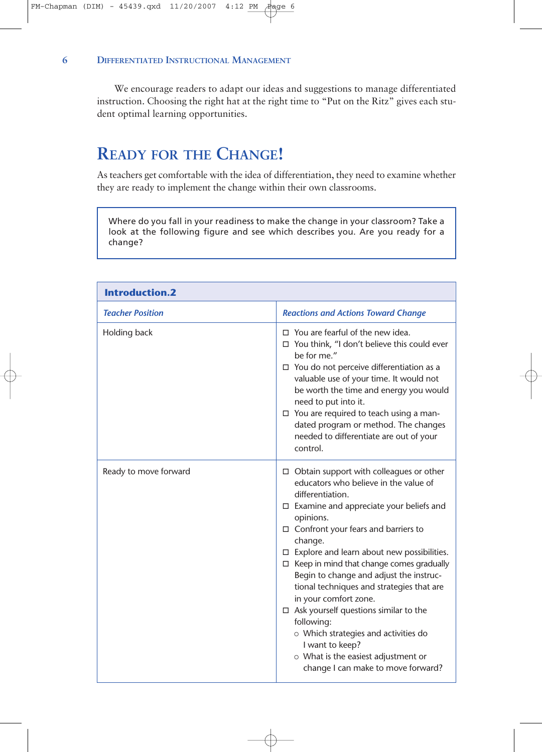We encourage readers to adapt our ideas and suggestions to manage differentiated instruction. Choosing the right hat at the right time to "Put on the Ritz" gives each student optimal learning opportunities.

### **READY FOR THE CHANGE!**

As teachers get comfortable with the idea of differentiation, they need to examine whether they are ready to implement the change within their own classrooms.

Where do you fall in your readiness to make the change in your classroom? Take a look at the following figure and see which describes you. Are you ready for a change?

| <b>Introduction.2</b>   |                                                                                                                                                                                                                                                                                                                                                                                                                                                                                                                                                                                                                                                                       |  |
|-------------------------|-----------------------------------------------------------------------------------------------------------------------------------------------------------------------------------------------------------------------------------------------------------------------------------------------------------------------------------------------------------------------------------------------------------------------------------------------------------------------------------------------------------------------------------------------------------------------------------------------------------------------------------------------------------------------|--|
| <b>Teacher Position</b> | <b>Reactions and Actions Toward Change</b>                                                                                                                                                                                                                                                                                                                                                                                                                                                                                                                                                                                                                            |  |
| Holding back            | $\Box$ You are fearful of the new idea.<br>□ You think, "I don't believe this could ever<br>be for me."<br>$\Box$ You do not perceive differentiation as a<br>valuable use of your time. It would not<br>be worth the time and energy you would<br>need to put into it.<br>$\Box$ You are required to teach using a man-<br>dated program or method. The changes<br>needed to differentiate are out of your<br>control.                                                                                                                                                                                                                                               |  |
| Ready to move forward   | $\Box$ Obtain support with colleagues or other<br>educators who believe in the value of<br>differentiation.<br>$\square$ Examine and appreciate your beliefs and<br>opinions.<br>$\Box$ Confront your fears and barriers to<br>change.<br>$\Box$ Explore and learn about new possibilities.<br>$\Box$ Keep in mind that change comes gradually<br>Begin to change and adjust the instruc-<br>tional techniques and strategies that are<br>in your comfort zone.<br>$\Box$ Ask yourself questions similar to the<br>following:<br>o Which strategies and activities do<br>I want to keep?<br>o What is the easiest adjustment or<br>change I can make to move forward? |  |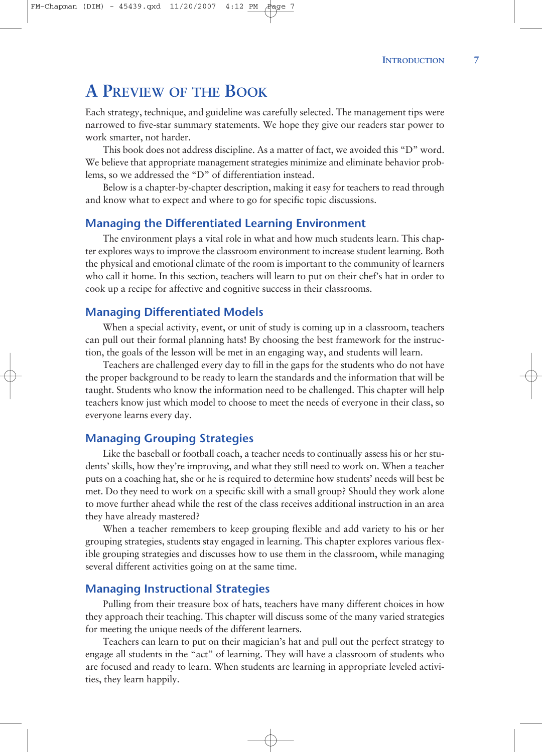## **A PREVIEW OF THE BOOK**

Each strategy, technique, and guideline was carefully selected. The management tips were narrowed to five-star summary statements. We hope they give our readers star power to work smarter, not harder.

This book does not address discipline. As a matter of fact, we avoided this "D" word. We believe that appropriate management strategies minimize and eliminate behavior problems, so we addressed the "D" of differentiation instead.

Below is a chapter-by-chapter description, making it easy for teachers to read through and know what to expect and where to go for specific topic discussions.

#### **Managing the Differentiated Learning Environment**

The environment plays a vital role in what and how much students learn. This chapter explores ways to improve the classroom environment to increase student learning. Both the physical and emotional climate of the room is important to the community of learners who call it home. In this section, teachers will learn to put on their chef's hat in order to cook up a recipe for affective and cognitive success in their classrooms.

#### **Managing Differentiated Models**

When a special activity, event, or unit of study is coming up in a classroom, teachers can pull out their formal planning hats! By choosing the best framework for the instruction, the goals of the lesson will be met in an engaging way, and students will learn.

Teachers are challenged every day to fill in the gaps for the students who do not have the proper background to be ready to learn the standards and the information that will be taught. Students who know the information need to be challenged. This chapter will help teachers know just which model to choose to meet the needs of everyone in their class, so everyone learns every day.

### **Managing Grouping Strategies**

Like the baseball or football coach, a teacher needs to continually assess his or her students' skills, how they're improving, and what they still need to work on. When a teacher puts on a coaching hat, she or he is required to determine how students' needs will best be met. Do they need to work on a specific skill with a small group? Should they work alone to move further ahead while the rest of the class receives additional instruction in an area they have already mastered?

When a teacher remembers to keep grouping flexible and add variety to his or her grouping strategies, students stay engaged in learning. This chapter explores various flexible grouping strategies and discusses how to use them in the classroom, while managing several different activities going on at the same time.

### **Managing Instructional Strategies**

Pulling from their treasure box of hats, teachers have many different choices in how they approach their teaching. This chapter will discuss some of the many varied strategies for meeting the unique needs of the different learners.

Teachers can learn to put on their magician's hat and pull out the perfect strategy to engage all students in the "act" of learning. They will have a classroom of students who are focused and ready to learn. When students are learning in appropriate leveled activities, they learn happily.